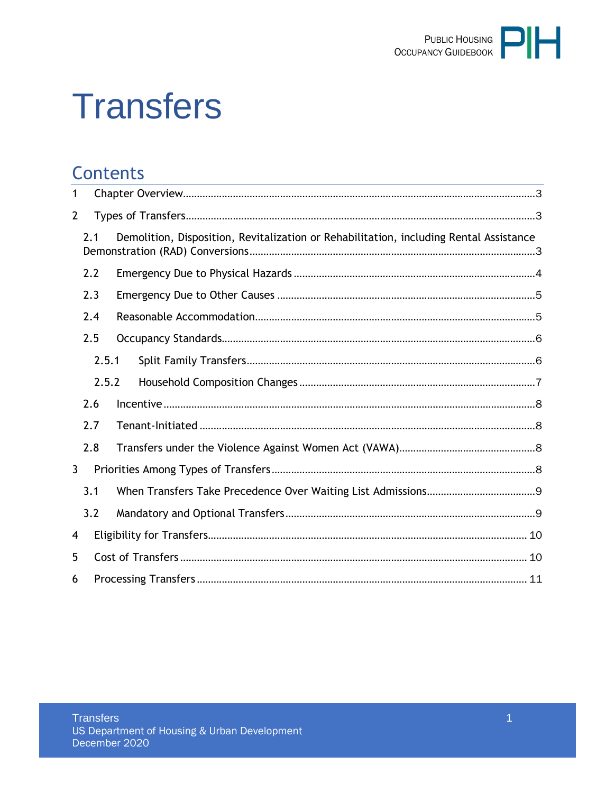

# **Transfers**

# **Contents**

| 1              |     |  |                                                                                        |  |  |
|----------------|-----|--|----------------------------------------------------------------------------------------|--|--|
| $\overline{2}$ |     |  |                                                                                        |  |  |
| 2.1            |     |  | Demolition, Disposition, Revitalization or Rehabilitation, including Rental Assistance |  |  |
|                | 2.2 |  |                                                                                        |  |  |
|                | 2.3 |  |                                                                                        |  |  |
|                | 2.4 |  |                                                                                        |  |  |
|                | 2.5 |  |                                                                                        |  |  |
| 2.5.1<br>2.5.2 |     |  |                                                                                        |  |  |
|                |     |  |                                                                                        |  |  |
|                | 2.6 |  |                                                                                        |  |  |
|                | 2.7 |  |                                                                                        |  |  |
|                | 2.8 |  |                                                                                        |  |  |
| $\mathbf{3}$   |     |  |                                                                                        |  |  |
|                | 3.1 |  |                                                                                        |  |  |
|                | 3.2 |  |                                                                                        |  |  |
| 4              |     |  |                                                                                        |  |  |
| 5              |     |  |                                                                                        |  |  |
| 6              |     |  |                                                                                        |  |  |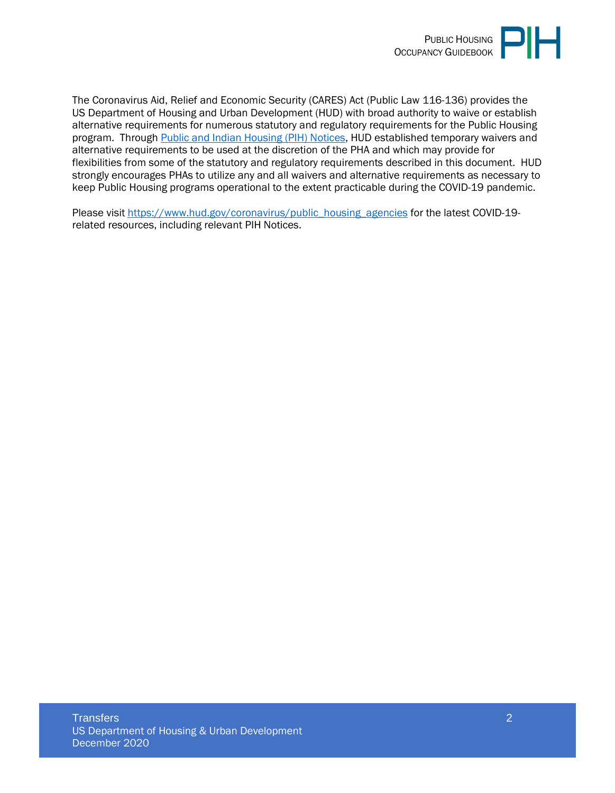

The Coronavirus Aid, Relief and Economic Security (CARES) Act (Public Law 116-136) provides the US Department of Housing and Urban Development (HUD) with broad authority to waive or establish alternative requirements for numerous statutory and regulatory requirements for the Public Housing program. Through [Public and Indian Housing \(PIH\) Notices,](https://www.hud.gov/program_offices/public_indian_housing/publications/notices) HUD established temporary waivers and alternative requirements to be used at the discretion of the PHA and which may provide for flexibilities from some of the statutory and regulatory requirements described in this document. HUD strongly encourages PHAs to utilize any and all waivers and alternative requirements as necessary to keep Public Housing programs operational to the extent practicable during the COVID-19 pandemic.

Please visit [https://www.hud.gov/coronavirus/public\\_housing\\_agencies](https://www.hud.gov/coronavirus/public_housing_agencies) for the latest COVID-19 related resources, including relevant PIH Notices.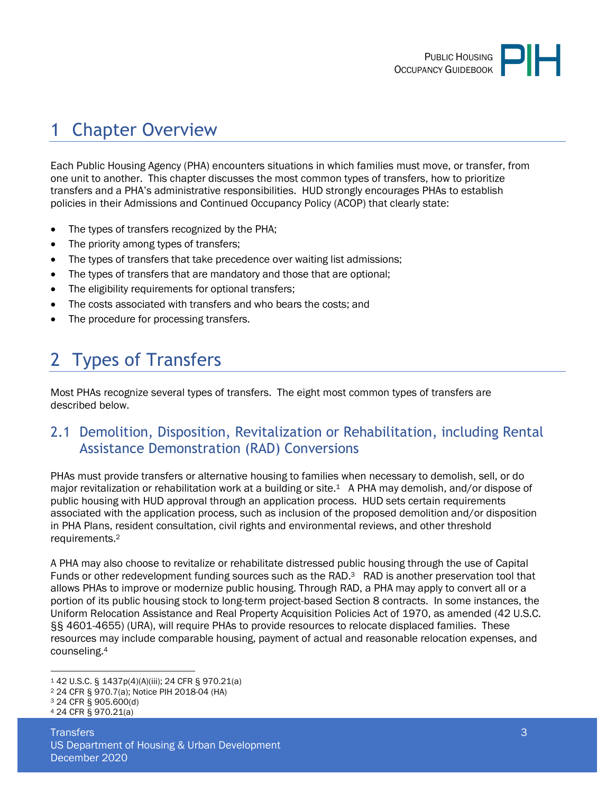

# <span id="page-2-0"></span>1 Chapter Overview

Each Public Housing Agency (PHA) encounters situations in which families must move, or transfer, from one unit to another. This chapter discusses the most common types of transfers, how to prioritize transfers and a PHA's administrative responsibilities. HUD strongly encourages PHAs to establish policies in their Admissions and Continued Occupancy Policy (ACOP) that clearly state:

- The types of transfers recognized by the PHA;
- The priority among types of transfers;
- The types of transfers that take precedence over waiting list admissions;
- The types of transfers that are mandatory and those that are optional;
- The eligibility requirements for optional transfers;
- The costs associated with transfers and who bears the costs; and
- <span id="page-2-1"></span>The procedure for processing transfers.

# 2 Types of Transfers

Most PHAs recognize several types of transfers. The eight most common types of transfers are described below.

### <span id="page-2-2"></span>2.1 Demolition, Disposition, Revitalization or Rehabilitation, including Rental Assistance Demonstration (RAD) Conversions

PHAs must provide transfers or alternative housing to families when necessary to demolish, sell, or do major revitalization or rehabilitation work at a building or site.<sup>1</sup> A PHA may demolish, and/or dispose of public housing with HUD approval through an application process. HUD sets certain requirements associated with the application process, such as inclusion of the proposed demolition and/or disposition in PHA Plans, resident consultation, civil rights and environmental reviews, and other threshold requirements.<sup>2</sup>

A PHA may also choose to revitalize or rehabilitate distressed public housing through the use of Capital Funds or other redevelopment funding sources such as the RAD.<sup>3</sup> RAD is another preservation tool that allows PHAs to improve or modernize public housing. Through RAD, a PHA may apply to convert all or a portion of its public housing stock to long-term project-based Section 8 contracts. In some instances, the Uniform Relocation Assistance and Real Property Acquisition Policies Act of 1970, as amended (42 U.S.C. §§ 4601-4655) (URA), will require PHAs to provide resources to relocate displaced families. These resources may include comparable housing, payment of actual and reasonable relocation expenses, and counseling.<sup>4</sup>

<sup>1</sup> 42 U.S.C. § 1437p(4)(A)(iii); 24 CFR § 970.21(a)

<sup>2</sup> 24 CFR § 970.7(a); Notice PIH 2018-04 (HA)

<sup>3</sup> 24 CFR § 905.600(d)

<sup>4</sup> 24 CFR § 970.21(a)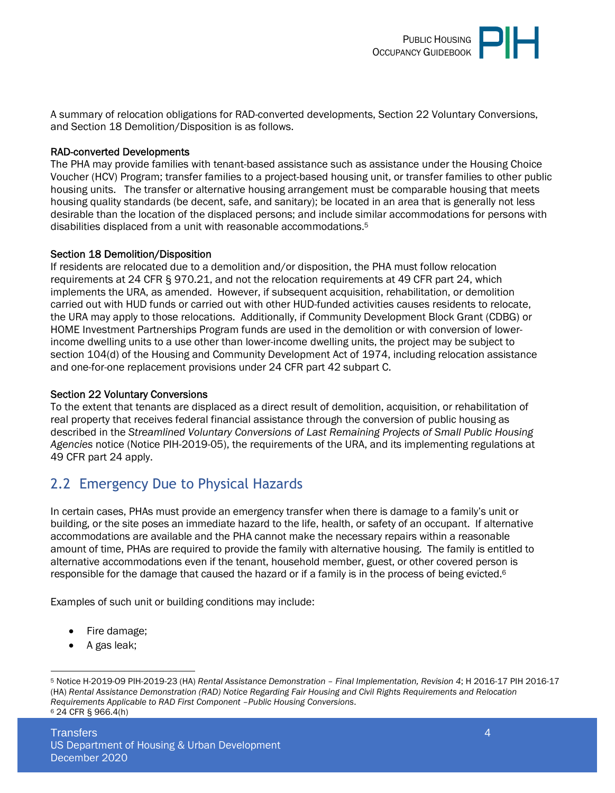

A summary of relocation obligations for RAD-converted developments, Section 22 Voluntary Conversions, and Section 18 Demolition/Disposition is as follows.

#### RAD-converted Developments

The PHA may provide families with tenant-based assistance such as assistance under the Housing Choice Voucher (HCV) Program; transfer families to a project-based housing unit, or transfer families to other public housing units. The transfer or alternative housing arrangement must be comparable housing that meets housing quality standards (be decent, safe, and sanitary); be located in an area that is generally not less desirable than the location of the displaced persons; and include similar accommodations for persons with disabilities displaced from a unit with reasonable accommodations.<sup>5</sup>

#### Section 18 Demolition/Disposition

If residents are relocated due to a demolition and/or disposition, the PHA must follow relocation requirements at 24 CFR § 970.21, and not the relocation requirements at 49 CFR part 24, which implements the URA, as amended. However, if subsequent acquisition, rehabilitation, or demolition carried out with HUD funds or carried out with other HUD-funded activities causes residents to relocate, the URA may apply to those relocations. Additionally, if Community Development Block Grant (CDBG) or HOME Investment Partnerships Program funds are used in the demolition or with conversion of lowerincome dwelling units to a use other than lower-income dwelling units, the project may be subject to section 104(d) of the Housing and Community Development Act of 1974, including relocation assistance and one-for-one replacement provisions under 24 CFR part 42 subpart C.

#### Section 22 Voluntary Conversions

To the extent that tenants are displaced as a direct result of demolition, acquisition, or rehabilitation of real property that receives federal financial assistance through the conversion of public housing as described in the *Streamlined Voluntary Conversions of Last Remaining Projects of Small Public Housing Agencies* notice (Notice PIH-2019-05), the requirements of the URA, and its implementing regulations at 49 CFR part 24 apply.

### <span id="page-3-0"></span>2.2 Emergency Due to Physical Hazards

In certain cases, PHAs must provide an emergency transfer when there is damage to a family's unit or building, or the site poses an immediate hazard to the life, health, or safety of an occupant. If alternative accommodations are available and the PHA cannot make the necessary repairs within a reasonable amount of time, PHAs are required to provide the family with alternative housing. The family is entitled to alternative accommodations even if the tenant, household member, guest, or other covered person is responsible for the damage that caused the hazard or if a family is in the process of being evicted.<sup>6</sup>

Examples of such unit or building conditions may include:

- Fire damage;
- A gas leak;

<sup>5</sup> Notice H-2019-O9 PIH-2019-23 (HA) *Rental Assistance Demonstration – Final Implementation, Revision 4*; H 2016-17 PIH 2016-17 (HA) *Rental Assistance Demonstration (RAD) Notice Regarding Fair Housing and Civil Rights Requirements and Relocation Requirements Applicable to RAD First Component –Public Housing Conversions*. 6 24 CFR § 966.4(h)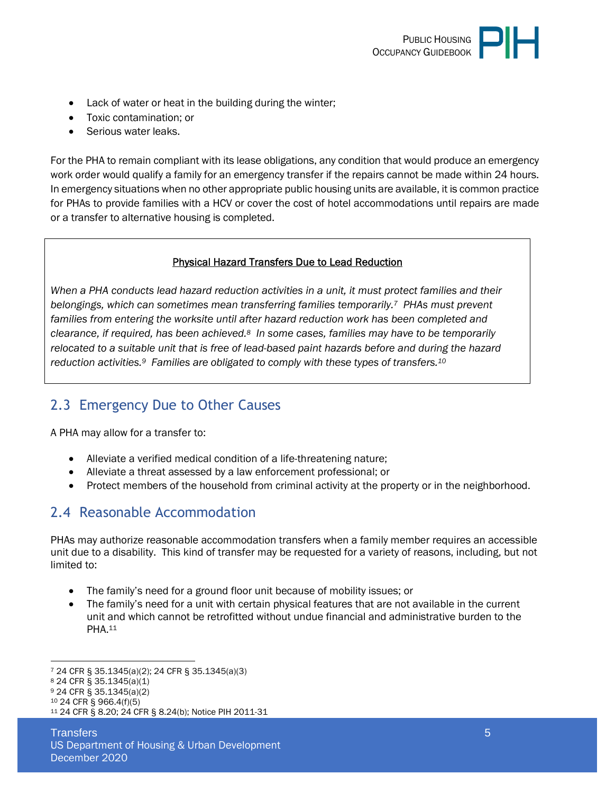

- Lack of water or heat in the building during the winter;
- Toxic contamination; or
- Serious water leaks.

For the PHA to remain compliant with its lease obligations, any condition that would produce an emergency work order would qualify a family for an emergency transfer if the repairs cannot be made within 24 hours. In emergency situations when no other appropriate public housing units are available, it is common practice for PHAs to provide families with a HCV or cover the cost of hotel accommodations until repairs are made or a transfer to alternative housing is completed.

#### Physical Hazard Transfers Due to Lead Reduction

*When a PHA conducts lead hazard reduction activities in a unit, it must protect families and their belongings, which can sometimes mean transferring families temporarily.7 PHAs must prevent*  families from entering the worksite until after hazard reduction work has been completed and *clearance, if required, has been achieved.8 In some cases, families may have to be temporarily relocated to a suitable unit that is free of lead-based paint hazards before and during the hazard reduction activities.9 Families are obligated to comply with these types of transfers.<sup>10</sup>*

### <span id="page-4-0"></span>2.3 Emergency Due to Other Causes

A PHA may allow for a transfer to:

- Alleviate a verified medical condition of a life-threatening nature;
- Alleviate a threat assessed by a law enforcement professional; or
- Protect members of the household from criminal activity at the property or in the neighborhood.

### <span id="page-4-1"></span>2.4 Reasonable Accommodation

PHAs may authorize reasonable accommodation transfers when a family member requires an accessible unit due to a disability. This kind of transfer may be requested for a variety of reasons, including, but not limited to:

- The family's need for a ground floor unit because of mobility issues; or
- The family's need for a unit with certain physical features that are not available in the current unit and which cannot be retrofitted without undue financial and administrative burden to the PHA.<sup>11</sup>

<sup>7</sup> 24 CFR § 35.1345(a)(2); 24 CFR § 35.1345(a)(3)

<sup>8</sup> 24 CFR § 35.1345(a)(1)

<sup>9</sup> 24 CFR § 35.1345(a)(2)

<sup>10</sup> 24 CFR § 966.4(f)(5)

<sup>11</sup> 24 CFR § 8.20; 24 CFR § 8.24(b); Notice PIH 2011-31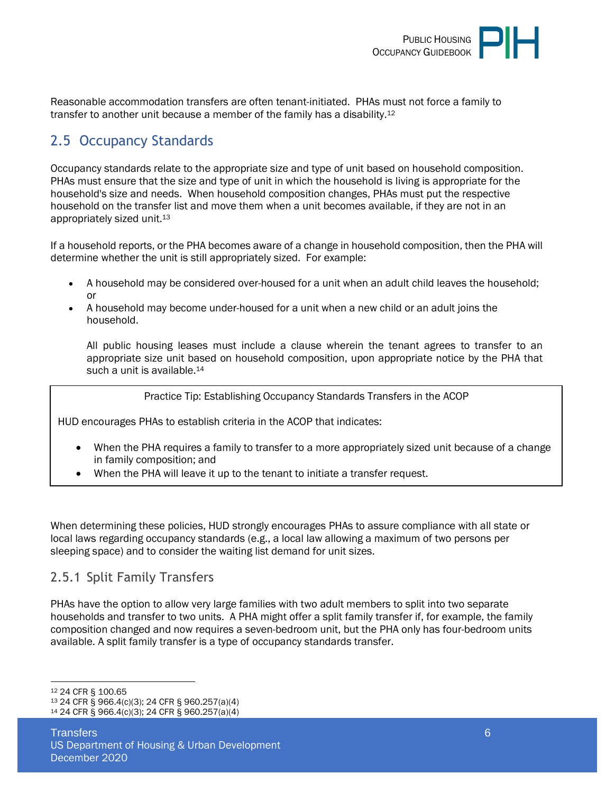

Reasonable accommodation transfers are often tenant-initiated. PHAs must not force a family to transfer to another unit because a member of the family has a disability.<sup>12</sup>

# <span id="page-5-0"></span>2.5 Occupancy Standards

Occupancy standards relate to the appropriate size and type of unit based on household composition. PHAs must ensure that the size and type of unit in which the household is living is appropriate for the household's size and needs. When household composition changes, PHAs must put the respective household on the transfer list and move them when a unit becomes available, if they are not in an appropriately sized unit.<sup>13</sup>

If a household reports, or the PHA becomes aware of a change in household composition, then the PHA will determine whether the unit is still appropriately sized. For example:

- A household may be considered over-housed for a unit when an adult child leaves the household; or
- A household may become under-housed for a unit when a new child or an adult joins the household.

All public housing leases must include a clause wherein the tenant agrees to transfer to an appropriate size unit based on household composition, upon appropriate notice by the PHA that such a unit is available.<sup>14</sup>

Practice Tip: Establishing Occupancy Standards Transfers in the ACOP

HUD encourages PHAs to establish criteria in the ACOP that indicates:

- When the PHA requires a family to transfer to a more appropriately sized unit because of a change in family composition; and
- When the PHA will leave it up to the tenant to initiate a transfer request.

When determining these policies, HUD strongly encourages PHAs to assure compliance with all state or local laws regarding occupancy standards (e.g., a local law allowing a maximum of two persons per sleeping space) and to consider the waiting list demand for unit sizes.

#### <span id="page-5-1"></span>2.5.1 Split Family Transfers

PHAs have the option to allow very large families with two adult members to split into two separate households and transfer to two units. A PHA might offer a split family transfer if, for example, the family composition changed and now requires a seven-bedroom unit, but the PHA only has four-bedroom units available. A split family transfer is a type of occupancy standards transfer.

<sup>13</sup> 24 CFR § 966.4(c)(3); 24 CFR § 960.257(a)(4) <sup>14</sup> 24 CFR § 966.4(c)(3); 24 CFR § 960.257(a)(4)

<sup>12</sup> 24 CFR § 100.65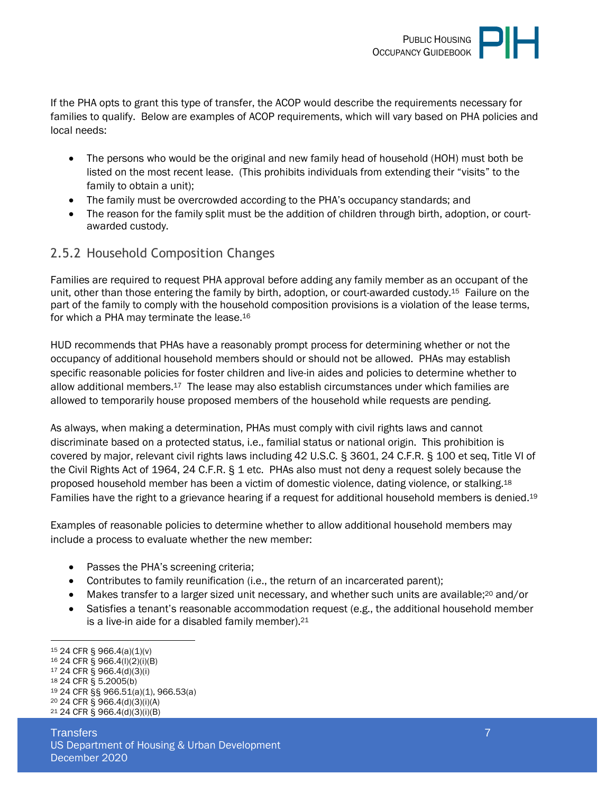

If the PHA opts to grant this type of transfer, the ACOP would describe the requirements necessary for families to qualify. Below are examples of ACOP requirements, which will vary based on PHA policies and local needs:

- The persons who would be the original and new family head of household (HOH) must both be listed on the most recent lease. (This prohibits individuals from extending their "visits" to the family to obtain a unit);
- The family must be overcrowded according to the PHA's occupancy standards; and
- The reason for the family split must be the addition of children through birth, adoption, or courtawarded custody.

#### <span id="page-6-0"></span>2.5.2 Household Composition Changes

Families are required to request PHA approval before adding any family member as an occupant of the unit, other than those entering the family by birth, adoption, or court-awarded custody.15 Failure on the part of the family to comply with the household composition provisions is a violation of the lease terms, for which a PHA may terminate the lease.<sup>16</sup>

HUD recommends that PHAs have a reasonably prompt process for determining whether or not the occupancy of additional household members should or should not be allowed. PHAs may establish specific reasonable policies for foster children and live-in aides and policies to determine whether to allow additional members.17 The lease may also establish circumstances under which families are allowed to temporarily house proposed members of the household while requests are pending.

As always, when making a determination, PHAs must comply with civil rights laws and cannot discriminate based on a protected status, i.e., familial status or national origin. This prohibition is covered by major, relevant civil rights laws including 42 U.S.C. § 3601, 24 C.F.R. § 100 et seq, Title VI of the Civil Rights Act of 1964, 24 C.F.R. § 1 etc. PHAs also must not deny a request solely because the proposed household member has been a victim of domestic violence, dating violence, or stalking.<sup>18</sup> Families have the right to a grievance hearing if a request for additional household members is denied.<sup>19</sup>

Examples of reasonable policies to determine whether to allow additional household members may include a process to evaluate whether the new member:

- Passes the PHA's screening criteria;
- Contributes to family reunification (i.e., the return of an incarcerated parent);
- Makes transfer to a larger sized unit necessary, and whether such units are available;<sup>20</sup> and/or
- Satisfies a tenant's reasonable accommodation request (e.g., the additional household member is a live-in aide for a disabled family member).<sup>21</sup>

- <sup>16</sup> 24 CFR § 966.4(l)(2)(i)(B)
- <sup>17</sup> 24 CFR § 966.4(d)(3)(i)
- <sup>18</sup> 24 CFR § 5.2005(b) <sup>19</sup> 24 CFR §§ 966.51(a)(1), 966.53(a)
- <sup>20</sup> 24 CFR § 966.4(d)(3)(i)(A)
- 21 24 CFR § 966.4(d)(3)(i)(B)

<sup>15</sup> 24 CFR § 966.4(a)(1)(v)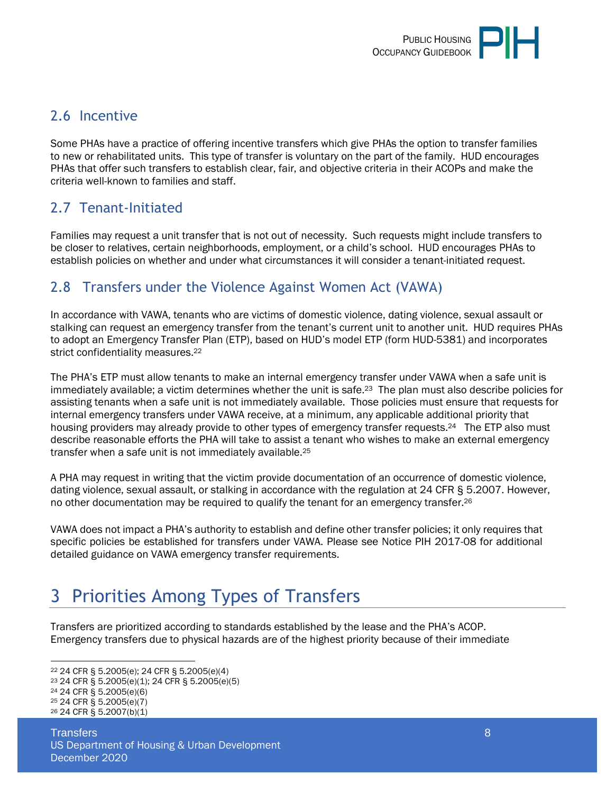## <span id="page-7-0"></span>2.6 Incentive

Some PHAs have a practice of offering incentive transfers which give PHAs the option to transfer families to new or rehabilitated units. This type of transfer is voluntary on the part of the family. HUD encourages PHAs that offer such transfers to establish clear, fair, and objective criteria in their ACOPs and make the criteria well-known to families and staff.

# <span id="page-7-1"></span>2.7 Tenant-Initiated

Families may request a unit transfer that is not out of necessity. Such requests might include transfers to be closer to relatives, certain neighborhoods, employment, or a child's school. HUD encourages PHAs to establish policies on whether and under what circumstances it will consider a tenant-initiated request.

### <span id="page-7-2"></span>2.8 Transfers under the Violence Against Women Act (VAWA)

In accordance with VAWA, tenants who are victims of domestic violence, dating violence, sexual assault or stalking can request an emergency transfer from the tenant's current unit to another unit. HUD requires PHAs to adopt an Emergency Transfer Plan (ETP), based on HUD's model ETP (form HUD-5381) and incorporates strict confidentiality measures.<sup>22</sup>

The PHA's ETP must allow tenants to make an internal emergency transfer under VAWA when a safe unit is immediately available; a victim determines whether the unit is safe.23 The plan must also describe policies for assisting tenants when a safe unit is not immediately available. Those policies must ensure that requests for internal emergency transfers under VAWA receive, at a minimum, any applicable additional priority that housing providers may already provide to other types of emergency transfer requests.<sup>24</sup> The ETP also must describe reasonable efforts the PHA will take to assist a tenant who wishes to make an external emergency transfer when a safe unit is not immediately available.<sup>25</sup>

A PHA may request in writing that the victim provide documentation of an occurrence of domestic violence, dating violence, sexual assault, or stalking in accordance with the regulation at 24 CFR § 5.2007. However, no other documentation may be required to qualify the tenant for an emergency transfer.<sup>26</sup>

VAWA does not impact a PHA's authority to establish and define other transfer policies; it only requires that specific policies be established for transfers under VAWA. Please see Notice PIH 2017-08 for additional detailed guidance on VAWA emergency transfer requirements.

# <span id="page-7-3"></span>3 Priorities Among Types of Transfers

Transfers are prioritized according to standards established by the lease and the PHA's ACOP. Emergency transfers due to physical hazards are of the highest priority because of their immediate

<sup>22</sup> 24 CFR § 5.2005(e); 24 CFR § 5.2005(e)(4)

<sup>23</sup> 24 CFR § 5.2005(e)(1); 24 CFR § 5.2005(e)(5)

<sup>24</sup> 24 CFR § 5.2005(e)(6)

<sup>25</sup> 24 CFR § 5.2005(e)(7)

<sup>26</sup> 24 CFR § 5.2007(b)(1)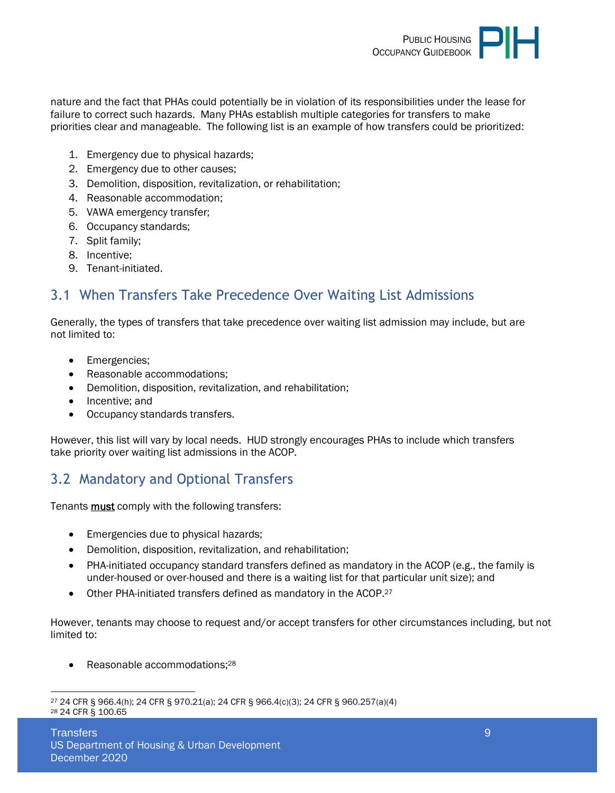

nature and the fact that PHAs could potentially be in violation of its responsibilities under the lease for failure to correct such hazards. Many PHAs establish multiple categories for transfers to make priorities clear and manageable. The following list is an example of how transfers could be prioritized:

- 1. Emergency due to physical hazards;
- 2. Emergency due to other causes;
- 3. Demolition, disposition, revitalization, or rehabilitation;
- 4. Reasonable accommodation;
- 5. VAWA emergency transfer;
- 6. Occupancy standards;
- 7. Split family;
- 8. Incentive;
- 9. Tenant-initiated.

### <span id="page-8-0"></span>3.1 When Transfers Take Precedence Over Waiting List Admissions

Generally, the types of transfers that take precedence over waiting list admission may include, but are not limited to:

- Emergencies:
- Reasonable accommodations;
- Demolition, disposition, revitalization, and rehabilitation;
- Incentive; and
- Occupancy standards transfers.

However, this list will vary by local needs. HUD strongly encourages PHAs to include which transfers take priority over waiting list admissions in the ACOP.

### <span id="page-8-1"></span>3.2 Mandatory and Optional Transfers

Tenants must comply with the following transfers:

- Emergencies due to physical hazards;
- Demolition, disposition, revitalization, and rehabilitation;
- PHA-initiated occupancy standard transfers defined as mandatory in the ACOP (e.g., the family is under-housed or over-housed and there is a waiting list for that particular unit size); and
- Other PHA-initiated transfers defined as mandatory in the ACOP.<sup>27</sup>

However, tenants may choose to request and/or accept transfers for other circumstances including, but not limited to:

• Reasonable accommodations;<sup>28</sup>

<sup>27</sup> 24 CFR § 966.4(h); 24 CFR § 970.21(a); 24 CFR § 966.4(c)(3); 24 CFR § 960.257(a)(4) 28 24 CFR § 100.65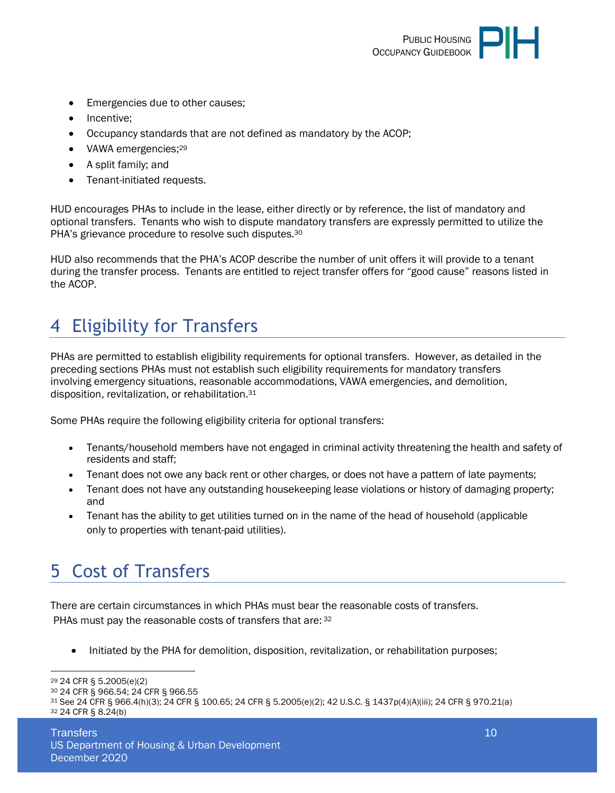

- Emergencies due to other causes;
- Incentive;
- Occupancy standards that are not defined as mandatory by the ACOP;
- VAWA emergencies;<sup>29</sup>
- A split family; and
- Tenant-initiated requests.

HUD encourages PHAs to include in the lease, either directly or by reference, the list of mandatory and optional transfers. Tenants who wish to dispute mandatory transfers are expressly permitted to utilize the PHA's grievance procedure to resolve such disputes.<sup>30</sup>

HUD also recommends that the PHA's ACOP describe the number of unit offers it will provide to a tenant during the transfer process. Tenants are entitled to reject transfer offers for "good cause" reasons listed in the ACOP.

# <span id="page-9-0"></span>4 Eligibility for Transfers

PHAs are permitted to establish eligibility requirements for optional transfers. However, as detailed in the preceding sections PHAs must not establish such eligibility requirements for mandatory transfers involving emergency situations, reasonable accommodations, VAWA emergencies, and demolition, disposition, revitalization, or rehabilitation.<sup>31</sup>

Some PHAs require the following eligibility criteria for optional transfers:

- Tenants/household members have not engaged in criminal activity threatening the health and safety of residents and staff;
- Tenant does not owe any back rent or other charges, or does not have a pattern of late payments;
- Tenant does not have any outstanding housekeeping lease violations or history of damaging property; and
- Tenant has the ability to get utilities turned on in the name of the head of household (applicable only to properties with tenant-paid utilities).

# <span id="page-9-1"></span>5 Cost of Transfers

There are certain circumstances in which PHAs must bear the reasonable costs of transfers. PHAs must pay the reasonable costs of transfers that are: 32

Initiated by the PHA for demolition, disposition, revitalization, or rehabilitation purposes;

<sup>29</sup> 24 CFR § 5.2005(e)(2)

<sup>30</sup> 24 CFR § 966.54; 24 CFR § 966.55

<sup>31</sup> See 24 CFR § 966.4(h)(3); 24 CFR § 100.65; 24 CFR § 5.2005(e)(2); 42 U.S.C. § 1437p(4)(A)(iii); 24 CFR § 970.21(a) 32 24 CFR § 8.24(b)